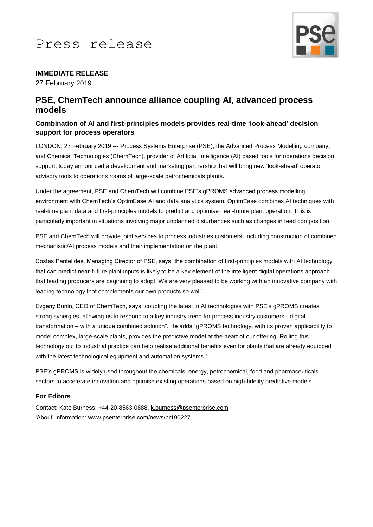

# **IMMEDIATE RELEASE**

27 February 2019

# **PSE, ChemTech announce alliance coupling AI, advanced process models**

### **Combination of AI and first-principles models provides real-time 'look-ahead' decision support for process operators**

LONDON, 27 February 2019 --- Process Systems Enterprise (PSE), the Advanced Process Modelling company, and Chemical Technologies (ChemTech), provider of Artificial Intelligence (AI) based tools for operations decision support, today announced a development and marketing partnership that will bring new 'look-ahead' operator advisory tools to operations rooms of large-scale petrochemicals plants.

Under the agreement, PSE and ChemTech will combine PSE's gPROMS advanced process modelling environment with ChemTech's OptimEase AI and data analytics system. OptimEase combines AI techniques with real-time plant data and first-principles models to predict and optimise near-future plant operation. This is particularly important in situations involving major unplanned disturbances such as changes in feed composition.

PSE and ChemTech will provide joint services to process industries customers, including construction of combined mechanistic/AI process models and their implementation on the plant.

Costas Pantelides, Managing Director of PSE, says "the combination of first-principles models with AI technology that can predict near-future plant inputs is likely to be a key element of the intelligent digital operations approach that leading producers are beginning to adopt. We are very pleased to be working with an innovative company with leading technology that complements our own products so well".

Evgeny Bunin, CEO of ChemTech, says "coupling the latest in AI technologies with PSE's gPROMS creates strong synergies, allowing us to respond to a key industry trend for process industry customers - digital transformation – with a unique combined solution". He adds "gPROMS technology, with its proven applicability to model complex, large-scale plants, provides the predictive model at the heart of our offering. Rolling this technology out to industrial practice can help realise additional benefits even for plants that are already equipped with the latest technological equipment and automation systems."

PSE's gPROMS is widely used throughout the chemicals, energy, petrochemical, food and pharmaceuticals sectors to accelerate innovation and optimise existing operations based on high-fidelity predictive models.

#### **For Editors**

Contact: Kate Burness, +44-20-8563-0888[, k.burness@psenterprise.com](mailto:k.burness@psenterprise.com) 'About' information: www.psenterprise.com/news/pr190227